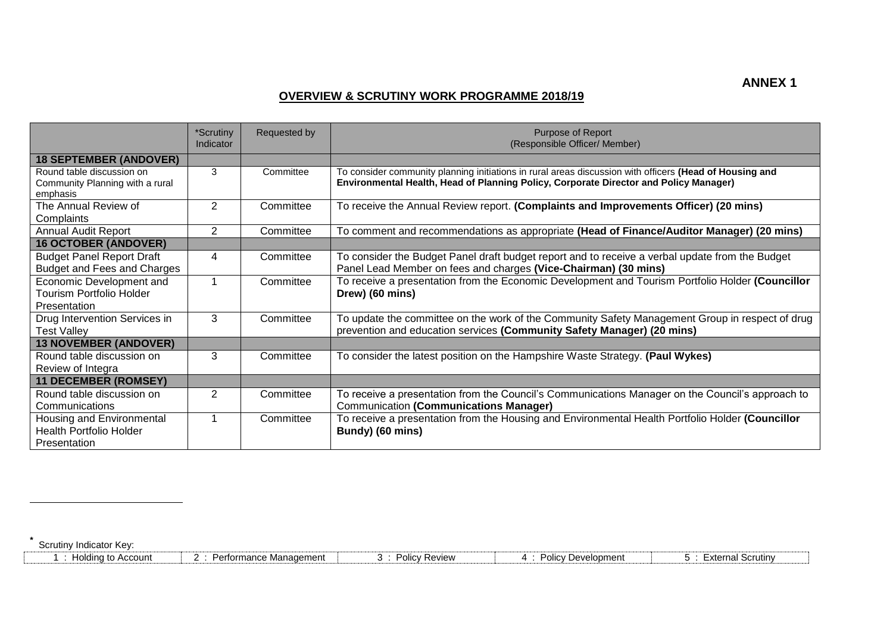## **OVERVIEW & SCRUTINY WORK PROGRAMME 2018/19**

|                                                                             | *Scrutiny<br>Indicator | Requested by | Purpose of Report<br>(Responsible Officer/ Member)                                                                                                                                               |
|-----------------------------------------------------------------------------|------------------------|--------------|--------------------------------------------------------------------------------------------------------------------------------------------------------------------------------------------------|
| <b>18 SEPTEMBER (ANDOVER)</b>                                               |                        |              |                                                                                                                                                                                                  |
| Round table discussion on<br>Community Planning with a rural<br>emphasis    | 3                      | Committee    | To consider community planning initiations in rural areas discussion with officers (Head of Housing and<br>Environmental Health, Head of Planning Policy, Corporate Director and Policy Manager) |
| The Annual Review of<br>Complaints                                          | $\overline{2}$         | Committee    | To receive the Annual Review report. (Complaints and Improvements Officer) (20 mins)                                                                                                             |
| <b>Annual Audit Report</b>                                                  | $\overline{2}$         | Committee    | To comment and recommendations as appropriate (Head of Finance/Auditor Manager) (20 mins)                                                                                                        |
| <b>16 OCTOBER (ANDOVER)</b>                                                 |                        |              |                                                                                                                                                                                                  |
| <b>Budget Panel Report Draft</b><br>Budget and Fees and Charges             | 4                      | Committee    | To consider the Budget Panel draft budget report and to receive a verbal update from the Budget<br>Panel Lead Member on fees and charges (Vice-Chairman) (30 mins)                               |
| Economic Development and<br>Tourism Portfolio Holder<br>Presentation        |                        | Committee    | To receive a presentation from the Economic Development and Tourism Portfolio Holder (Councillor<br>Drew) (60 mins)                                                                              |
| Drug Intervention Services in<br><b>Test Valley</b>                         | 3                      | Committee    | To update the committee on the work of the Community Safety Management Group in respect of drug<br>prevention and education services (Community Safety Manager) (20 mins)                        |
| <b>13 NOVEMBER (ANDOVER)</b>                                                |                        |              |                                                                                                                                                                                                  |
| Round table discussion on<br>Review of Integra                              | 3                      | Committee    | To consider the latest position on the Hampshire Waste Strategy. (Paul Wykes)                                                                                                                    |
| <b>11 DECEMBER (ROMSEY)</b>                                                 |                        |              |                                                                                                                                                                                                  |
| Round table discussion on<br>Communications                                 | 2                      | Committee    | To receive a presentation from the Council's Communications Manager on the Council's approach to<br><b>Communication (Communications Manager)</b>                                                |
| Housing and Environmental<br><b>Health Portfolio Holder</b><br>Presentation |                        | Committee    | To receive a presentation from the Housing and Environmental Health Portfolio Holder (Councillor<br>Bundy) (60 mins)                                                                             |

**\*** Scrutiny Indicator Key:

 $\overline{a}$ 

| Iolding to Account | Performance Management | Policy Review | / Development<br>Policy | <sup>⊏</sup> xternal Scrutinv |
|--------------------|------------------------|---------------|-------------------------|-------------------------------|
|                    |                        |               |                         |                               |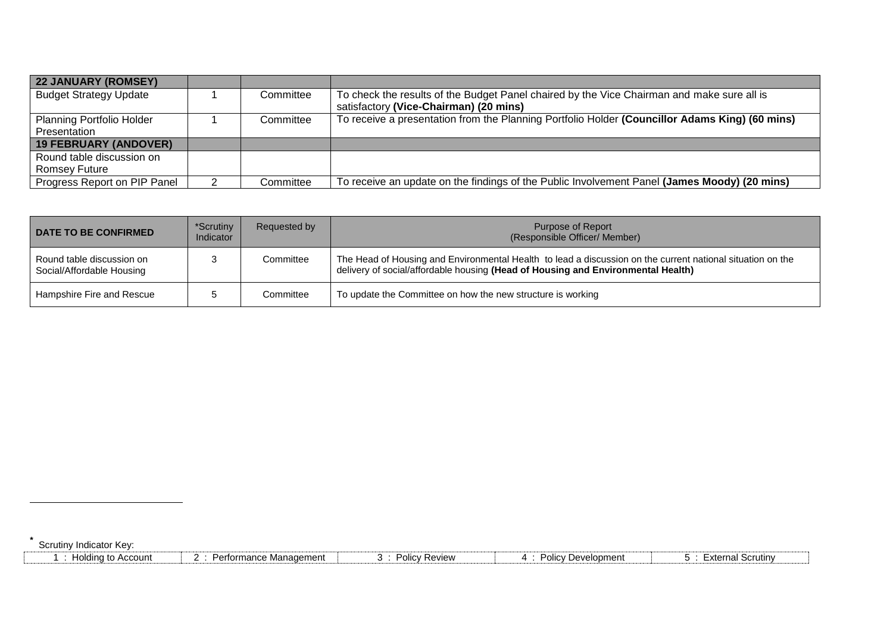| <b>22 JANUARY (ROMSEY)</b>       |           |                                                                                                |
|----------------------------------|-----------|------------------------------------------------------------------------------------------------|
| <b>Budget Strategy Update</b>    | Committee | To check the results of the Budget Panel chaired by the Vice Chairman and make sure all is     |
|                                  |           | satisfactory (Vice-Chairman) (20 mins)                                                         |
| <b>Planning Portfolio Holder</b> | Committee | To receive a presentation from the Planning Portfolio Holder (Councillor Adams King) (60 mins) |
| Presentation                     |           |                                                                                                |
| <b>19 FEBRUARY (ANDOVER)</b>     |           |                                                                                                |
| Round table discussion on        |           |                                                                                                |
| <b>Romsey Future</b>             |           |                                                                                                |
| Progress Report on PIP Panel     | Committee | To receive an update on the findings of the Public Involvement Panel (James Moody) (20 mins)   |

| <b>DATE TO BE CONFIRMED</b>                            | *Scrutiny<br>Indicator | Requested by | Purpose of Report<br>(Responsible Officer/ Member)                                                                                                                                             |
|--------------------------------------------------------|------------------------|--------------|------------------------------------------------------------------------------------------------------------------------------------------------------------------------------------------------|
| Round table discussion on<br>Social/Affordable Housing |                        | Committee    | The Head of Housing and Environmental Health to lead a discussion on the current national situation on the<br>delivery of social/affordable housing (Head of Housing and Environmental Health) |
| Hampshire Fire and Rescue                              |                        | Committee    | To update the Committee on how the new structure is working                                                                                                                                    |

Scrutiny Indicator Key:

**\***

 $\overline{a}$ 

|  | Holding to Account | Performance Management | Policy Review | / Development<br>Policy | ⊧xternal Scrutinv |
|--|--------------------|------------------------|---------------|-------------------------|-------------------|
|--|--------------------|------------------------|---------------|-------------------------|-------------------|